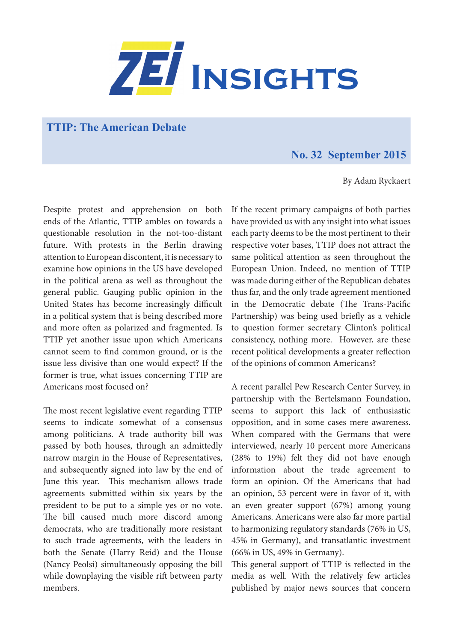

**TTIP: The American Debate** 

## **No. 32 September 2015**

By Adam Ryckaert

Despite protest and apprehension on both ends of the Atlantic, TTIP ambles on towards a questionable resolution in the not-too-distant future. With protests in the Berlin drawing attention to European discontent, it is necessary to examine how opinions in the US have developed in the political arena as well as throughout the general public. Gauging public opinion in the United States has become increasingly difficult in a political system that is being described more and more often as polarized and fragmented. Is TTIP yet another issue upon which Americans cannot seem to find common ground, or is the issue less divisive than one would expect? If the former is true, what issues concerning TTIP are Americans most focused on?

The most recent legislative event regarding TTIP seems to indicate somewhat of a consensus among politicians. A trade authority bill was passed by both houses, through an admittedly narrow margin in the House of Representatives, and subsequently signed into law by the end of June this year. This mechanism allows trade agreements submitted within six years by the president to be put to a simple yes or no vote. The bill caused much more discord among democrats, who are traditionally more resistant to such trade agreements, with the leaders in both the Senate (Harry Reid) and the House (Nancy Peolsi) simultaneously opposing the bill while downplaying the visible rift between party members.

If the recent primary campaigns of both parties have provided us with any insight into what issues each party deems to be the most pertinent to their respective voter bases, TTIP does not attract the same political attention as seen throughout the European Union. Indeed, no mention of TTIP was made during either of the Republican debates thus far, and the only trade agreement mentioned in the Democratic debate (The Trans-Pacific Partnership) was being used briefly as a vehicle to question former secretary Clinton's political consistency, nothing more. However, are these recent political developments a greater reflection of the opinions of common Americans?

A recent parallel Pew Research Center Survey, in partnership with the Bertelsmann Foundation, seems to support this lack of enthusiastic opposition, and in some cases mere awareness. When compared with the Germans that were interviewed, nearly 10 percent more Americans (28% to 19%) felt they did not have enough information about the trade agreement to form an opinion. Of the Americans that had an opinion, 53 percent were in favor of it, with an even greater support (67%) among young Americans. Americans were also far more partial to harmonizing regulatory standards (76% in US, 45% in Germany), and transatlantic investment (66% in US, 49% in Germany).

This general support of TTIP is reflected in the media as well. With the relatively few articles published by major news sources that concern